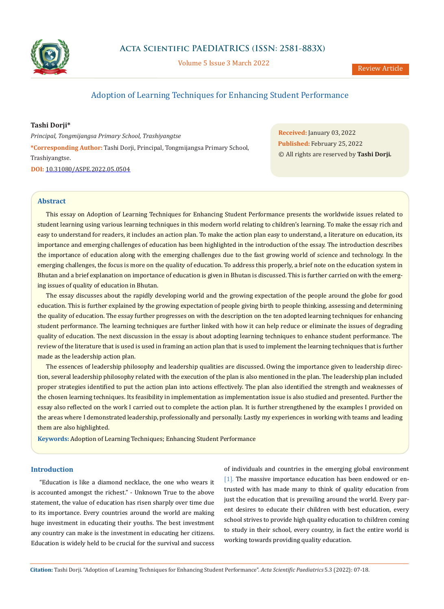

Volume 5 Issue 3 March 2022

# Adoption of Learning Techniques for Enhancing Student Performance

### **Tashi Dorji\***

*Principal, Tongmijangsa Primary School, Trashiyangtse* **\*Corresponding Author:** Tashi Dorji, Principal, Tongmijangsa Primary School, Trashiyangtse. **DOI:** [10.31080/ASPE.2022.05.0504](https://actascientific.com/ASPE/pdf/ASPE-05-0504.pdf)

**Received:** January 03, 2022 **Published:** February 25, 2022 © All rights are reserved by **Tashi Dorji***.*

## **Abstract**

This essay on Adoption of Learning Techniques for Enhancing Student Performance presents the worldwide issues related to student learning using various learning techniques in this modern world relating to children's learning. To make the essay rich and easy to understand for readers, it includes an action plan. To make the action plan easy to understand, a literature on education, its importance and emerging challenges of education has been highlighted in the introduction of the essay. The introduction describes the importance of education along with the emerging challenges due to the fast growing world of science and technology. In the emerging challenges, the focus is more on the quality of education. To address this properly, a brief note on the education system in Bhutan and a brief explanation on importance of education is given in Bhutan is discussed. This is further carried on with the emerging issues of quality of education in Bhutan.

The essay discusses about the rapidly developing world and the growing expectation of the people around the globe for good education. This is further explained by the growing expectation of people giving birth to people thinking, assessing and determining the quality of education. The essay further progresses on with the description on the ten adopted learning techniques for enhancing student performance. The learning techniques are further linked with how it can help reduce or eliminate the issues of degrading quality of education. The next discussion in the essay is about adopting learning techniques to enhance student performance. The review of the literature that is used is used in framing an action plan that is used to implement the learning techniques that is further made as the leadership action plan.

The essences of leadership philosophy and leadership qualities are discussed. Owing the importance given to leadership direction, several leadership philosophy related with the execution of the plan is also mentioned in the plan. The leadership plan included proper strategies identified to put the action plan into actions effectively. The plan also identified the strength and weaknesses of the chosen learning techniques. Its feasibility in implementation as implementation issue is also studied and presented. Further the essay also reflected on the work I carried out to complete the action plan. It is further strengthened by the examples I provided on the areas where I demonstrated leadership, professionally and personally. Lastly my experiences in working with teams and leading them are also highlighted.

**Keywords:** Adoption of Learning Techniques; Enhancing Student Performance

#### **Introduction**

"Education is like a diamond necklace, the one who wears it is accounted amongst the richest." - Unknown True to the above statement, the value of education has risen sharply over time due to its importance. Every countries around the world are making huge investment in educating their youths. The best investment any country can make is the investment in educating her citizens. Education is widely held to be crucial for the survival and success of individuals and countries in the emerging global environment [1]. The massive importance education has been endowed or entrusted with has made many to think of quality education from just the education that is prevailing around the world. Every parent desires to educate their children with best education, every school strives to provide high quality education to children coming to study in their school, every country, in fact the entire world is working towards providing quality education.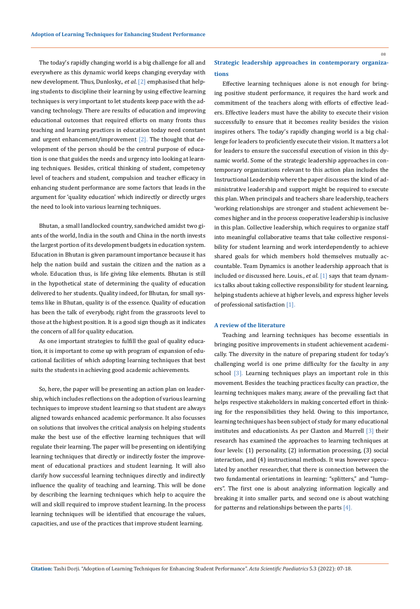The today's rapidly changing world is a big challenge for all and everywhere as this dynamic world keeps changing everyday with new development. Thus, Dunlosky., *et al*. [2] emphasised that helping students to discipline their learning by using effective learning techniques is very important to let students keep pace with the advancing technology. There are results of education and improving educational outcomes that required efforts on many fronts thus teaching and learning practices in education today need constant and urgent enhancement/improvement  $[2]$ . The thought that development of the person should be the central purpose of education is one that guides the needs and urgency into looking at learning techniques. Besides, critical thinking of student, competency level of teachers and student, compulsion and teacher efficacy in enhancing student performance are some factors that leads in the argument for 'quality education' which indirectly or directly urges the need to look into various learning techniques.

Bhutan, a small landlocked country, sandwiched amidst two giants of the world, India in the south and China in the north invests the largest portion of its development budgets in education system. Education in Bhutan is given paramount importance because it has help the nation build and sustain the citizen and the nation as a whole. Education thus, is life giving like elements. Bhutan is still in the hypothetical state of determining the quality of education delivered to her students. Quality indeed, for Bhutan, for small systems like in Bhutan, quality is of the essence. Quality of education has been the talk of everybody, right from the grassroots level to those at the highest position. It is a good sign though as it indicates the concern of all for quality education.

As one important strategies to fulfill the goal of quality education, it is important to come up with program of expansion of educational facilities of which adopting learning techniques that best suits the students in achieving good academic achievements.

So, here, the paper will be presenting an action plan on leadership, which includes reflections on the adoption of various learning techniques to improve student learning so that student are always aligned towards enhanced academic performance. It also focusses on solutions that involves the critical analysis on helping students make the best use of the effective learning techniques that will regulate their learning. The paper will be presenting on identifying learning techniques that directly or indirectly foster the improvement of educational practices and student learning. It will also clarify how successful learning techniques directly and indirectly influence the quality of teaching and learning. This will be done by describing the learning techniques which help to acquire the will and skill required to improve student learning. In the process learning techniques will be identified that encourage the values, capacities, and use of the practices that improve student learning.

## **Strategic leadership approaches in contemporary organizations**

Effective learning techniques alone is not enough for bringing positive student performance, it requires the hard work and commitment of the teachers along with efforts of effective leaders. Effective leaders must have the ability to execute their vision successfully to ensure that it becomes reality besides the vision inspires others. The today's rapidly changing world is a big challenge for leaders to proficiently execute their vision. It matters a lot for leaders to ensure the successful execution of vision in this dynamic world. Some of the strategic leadership approaches in contemporary organizations relevant to this action plan includes the Instructional Leadership where the paper discusses the kind of administrative leadership and support might be required to execute this plan. When principals and teachers share leadership, teachers 'working relationships are stronger and student achievement becomes higher and in the process cooperative leadership is inclusive in this plan. Collective leadership, which requires to organize staff into meaningful collaborative teams that take collective responsibility for student learning and work interdependently to achieve shared goals for which members hold themselves mutually accountable. Team Dynamics is another leadership approach that is included or discussed here. Louis., *et al*. [1] says that team dynamics talks about taking collective responsibility for student learning, helping students achieve at higher levels, and express higher levels of professional satisfaction [1].

#### **A review of the literature**

Teaching and learning techniques has become essentials in bringing positive improvements in student achievement academically. The diversity in the nature of preparing student for today's challenging world is one prime difficulty for the faculty in any school [3]. Learning techniques plays an important role in this movement*.* Besides the teaching practices faculty can practice, the learning techniques makes many, aware of the prevailing fact that helps respective stakeholders in making concerted effort in thinking for the responsibilities they held. Owing to this importance, learning techniques has been subject of study for many educational institutes and educationists. As per Claxton and Murrell [3] their research has examined the approaches to learning techniques at four levels: (1) personality, (2) information processing, (3) social interaction, and (4) instructional methods. It was however speculated by another researcher, that there is connection between the two fundamental orientations in learning: "splitters," and "lumpers". The first one is about analyzing information logically and breaking it into smaller parts, and second one is about watching for patterns and relationships between the parts [4].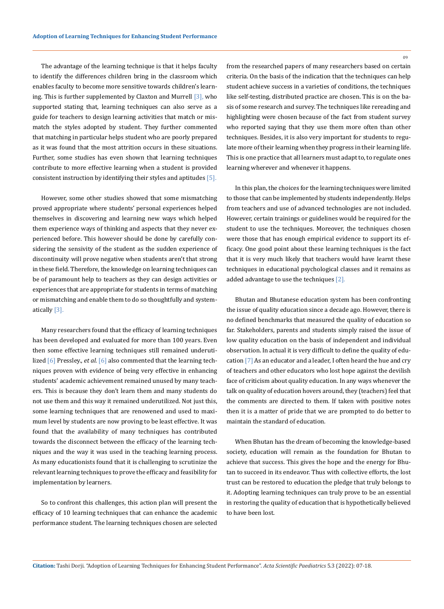The advantage of the learning technique is that it helps faculty to identify the differences children bring in the classroom which enables faculty to become more sensitive towards children's learning. This is further supplemented by Claxton and Murrell [3], who supported stating that, learning techniques can also serve as a guide for teachers to design learning activities that match or mismatch the styles adopted by student. They further commented that matching in particular helps student who are poorly prepared as it was found that the most attrition occurs in these situations. Further, some studies has even shown that learning techniques contribute to more effective learning when a student is provided consistent instruction by identifying their styles and aptitudes [5].

However, some other studies showed that some mismatching proved appropriate where students' personal experiences helped themselves in discovering and learning new ways which helped them experience ways of thinking and aspects that they never experienced before. This however should be done by carefully considering the sensivity of the student as the sudden experience of discontinuity will prove negative when students aren't that strong in these field. Therefore, the knowledge on learning techniques can be of paramount help to teachers as they can design activities or experiences that are appropriate for students in terms of matching or mismatching and enable them to do so thoughtfully and systematically [3].

Many researchers found that the efficacy of learning techniques has been developed and evaluated for more than 100 years. Even then some effective learning techniques still remained underutilized [6] Pressley., *et al.* [6] also commented that the learning techniques proven with evidence of being very effective in enhancing students' academic achievement remained unused by many teachers. This is because they don't learn them and many students do not use them and this way it remained underutilized. Not just this, some learning techniques that are renowened and used to maximum level by students are now proving to be least effective. It was found that the availability of many techniques has contributed towards the disconnect between the efficacy of the learning techniques and the way it was used in the teaching learning process. As many educationists found that it is challenging to scrutinize the relevant learning techniques to prove the efficacy and feasibility for implementation by learners.

So to confront this challenges, this action plan will present the efficacy of 10 learning techniques that can enhance the academic performance student. The learning techniques chosen are selected from the researched papers of many researchers based on certain criteria. On the basis of the indication that the techniques can help student achieve success in a varieties of conditions, the techniques like self-testing, distributed practice are chosen. This is on the basis of some research and survey. The techniques like rereading and highlighting were chosen because of the fact from student survey who reported saying that they use them more often than other techniques. Besides, it is also very important for students to regulate more of their learning when they progress in their learning life. This is one practice that all learners must adapt to, to regulate ones learning wherever and whenever it happens.

In this plan, the choices for the learning techniques were limited to those that can be implemented by students independently. Helps from teachers and use of advanced technologies are not included. However, certain trainings or guidelines would be required for the student to use the techniques. Moreover, the techniques chosen were those that has enough empirical evidence to support its efficacy. One good point about these learning techniques is the fact that it is very much likely that teachers would have learnt these techniques in educational psychological classes and it remains as added advantage to use the techniques [2].

Bhutan and Bhutanese education system has been confronting the issue of quality education since a decade ago. However, there is no defined benchmarks that measured the quality of education so far. Stakeholders, parents and students simply raised the issue of low quality education on the basis of independent and individual observation. In actual it is very difficult to define the quality of education [7] As an educator and a leader, I often heard the hue and cry of teachers and other educators who lost hope against the devilish face of criticism about quality education. In any ways whenever the talk on quality of education hovers around, they (teachers) feel that the comments are directed to them. If taken with positive notes then it is a matter of pride that we are prompted to do better to maintain the standard of education.

When Bhutan has the dream of becoming the knowledge-based society, education will remain as the foundation for Bhutan to achieve that success. This gives the hope and the energy for Bhutan to succeed in its endeavor. Thus with collective efforts, the lost trust can be restored to education the pledge that truly belongs to it. Adopting learning techniques can truly prove to be an essential in restoring the quality of education that is hypothetically believed to have been lost.

**Citation:** Tashi Dorji*.* "Adoption of Learning Techniques for Enhancing Student Performance". *Acta Scientific Paediatrics* 5.3 (2022): 07-18.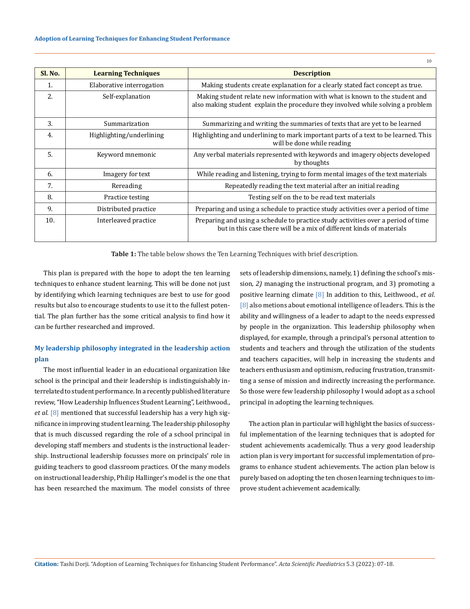| Sl. No. | <b>Learning Techniques</b> | <b>Description</b>                                                                                                                                             |  |
|---------|----------------------------|----------------------------------------------------------------------------------------------------------------------------------------------------------------|--|
| 1.      | Elaborative interrogation  | Making students create explanation for a clearly stated fact concept as true.                                                                                  |  |
| 2.      | Self-explanation           | Making student relate new information with what is known to the student and<br>also making student explain the procedure they involved while solving a problem |  |
| 3.      | Summarization              | Summarizing and writing the summaries of texts that are yet to be learned                                                                                      |  |
| 4.      | Highlighting/underlining   | Highlighting and underlining to mark important parts of a text to be learned. This<br>will be done while reading                                               |  |
| 5.      | Keyword mnemonic           | Any verbal materials represented with keywords and imagery objects developed<br>by thoughts                                                                    |  |
| 6.      | Imagery for text           | While reading and listening, trying to form mental images of the text materials                                                                                |  |
| 7.      | Rereading                  | Repeatedly reading the text material after an initial reading                                                                                                  |  |
| 8.      | Practice testing           | Testing self on the to be read text materials                                                                                                                  |  |
| 9.      | Distributed practice       | Preparing and using a schedule to practice study activities over a period of time                                                                              |  |
| 10.     | Interleaved practice       | Preparing and using a schedule to practice study activities over a period of time<br>but in this case there will be a mix of different kinds of materials      |  |

**Table 1:** The table below shows the Ten Learning Techniques with brief description.

This plan is prepared with the hope to adopt the ten learning techniques to enhance student learning. This will be done not just by identifying which learning techniques are best to use for good results but also to encourage students to use it to the fullest potential. The plan further has the some critical analysis to find how it can be further researched and improved.

## **My leadership philosophy integrated in the leadership action plan**

The most influential leader in an educational organization like school is the principal and their leadership is indistinguishably interrelated to student performance. In a recently published literature review, "How Leadership Influences Student Learning", Leithwood., *et al.* [8] mentioned that successful leadership has a very high significance in improving student learning. The leadership philosophy that is much discussed regarding the role of a school principal in developing staff members and students is the instructional leadership. Instructional leadership focusses more on principals' role in guiding teachers to good classroom practices*.* Of the many models on instructional leadership, Philip Hallinger's model is the one that has been researched the maximum*.* The model consists of three

sets of leadership dimensions, namely, 1) defining the school's mission*, 2)* managing the instructional program, and 3) promoting a positive learning climate [8] In addition to this, Leithwood., *et al*. [8] also metions about emotional intelligence of leaders. This is the ability and willingness of a leader to adapt to the needs expressed by people in the organization. This leadership philosophy when displayed, for example, through a principal's personal attention to students and teachers and through the utilization of the students and teachers capacities, will help in increasing the students and teachers enthusiasm and optimism, reducing frustration, transmitting a sense of mission and indirectly increasing the performance. So those were few leadership philosophy I would adopt as a school principal in adopting the learning techniques.

The action plan in particular will highlight the basics of successful implementation of the learning techniques that is adopted for student achievements academically. Thus a very good leadership action plan is very important for successful implementation of programs to enhance student achievements. The action plan below is purely based on adopting the ten chosen learning techniques to improve student achievement academically.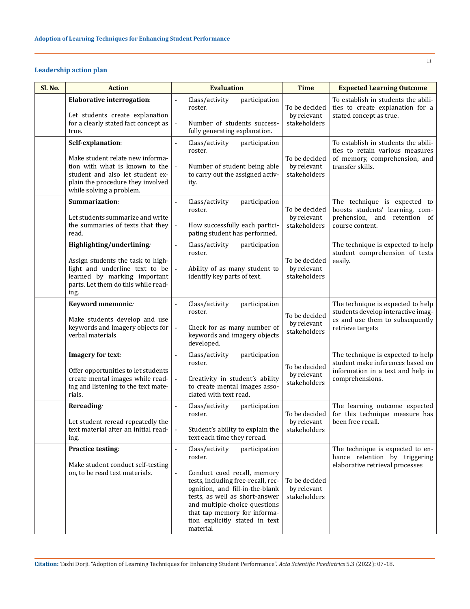## **Leadership action plan**

| Sl. No. | <b>Action</b>                                                                                                                                                                                | <b>Evaluation</b>                                                                                                                                                                                                                                                                                                                       | <b>Time</b>                                  | <b>Expected Learning Outcome</b>                                                                                               |
|---------|----------------------------------------------------------------------------------------------------------------------------------------------------------------------------------------------|-----------------------------------------------------------------------------------------------------------------------------------------------------------------------------------------------------------------------------------------------------------------------------------------------------------------------------------------|----------------------------------------------|--------------------------------------------------------------------------------------------------------------------------------|
|         | <b>Elaborative interrogation:</b><br>Let students create explanation<br>for a clearly stated fact concept as<br>true.                                                                        | Class/activity<br>participation<br>$\blacksquare$<br>roster.<br>Number of students success-<br>$\overline{a}$<br>fully generating explanation.                                                                                                                                                                                          | To be decided<br>by relevant<br>stakeholders | To establish in students the abili-<br>ties to create explanation for a<br>stated concept as true.                             |
|         | Self-explanation:<br>Make student relate new informa-<br>tion with what is known to the<br>student and also let student ex-<br>plain the procedure they involved<br>while solving a problem. | Class/activity<br>participation<br>$\overline{a}$<br>roster.<br>Number of student being able<br>$\overline{a}$<br>to carry out the assigned activ-<br>ity.                                                                                                                                                                              | To be decided<br>by relevant<br>stakeholders | To establish in students the abili-<br>ties to retain various measures<br>of memory, comprehension, and<br>transfer skills.    |
|         | Summarization:<br>Let students summarize and write<br>the summaries of texts that they<br>read.                                                                                              | Class/activity<br>participation<br>roster.<br>How successfully each partici-<br>$\overline{a}$<br>pating student has performed.                                                                                                                                                                                                         | To be decided<br>by relevant<br>stakeholders | The technique is expected to<br>boosts students' learning, com-<br>prehension, and retention of<br>course content.             |
|         | Highlighting/underlining:<br>Assign students the task to high-<br>light and underline text to be<br>learned by marking important<br>parts. Let them do this while read-<br>ing.              | Class/activity<br>participation<br>$\frac{1}{2}$<br>roster.<br>Ability of as many student to<br>identify key parts of text.                                                                                                                                                                                                             | To be decided<br>by relevant<br>stakeholders | The technique is expected to help<br>student comprehension of texts<br>easily.                                                 |
|         | Keyword mnemonic:<br>Make students develop and use<br>keywords and imagery objects for<br>verbal materials                                                                                   | Class/activity<br>participation<br>÷,<br>roster.<br>Check for as many number of<br>$\overline{a}$<br>keywords and imagery objects<br>developed.                                                                                                                                                                                         | To be decided<br>by relevant<br>stakeholders | The technique is expected to help<br>students develop interactive imag-<br>es and use them to subsequently<br>retrieve targets |
|         | Imagery for text:<br>Offer opportunities to let students<br>create mental images while read-<br>ing and listening to the text mate-<br>rials.                                                | Class/activity<br>participation<br>÷,<br>roster.<br>Creativity in student's ability<br>$\frac{1}{2}$<br>to create mental images asso-<br>ciated with text read.                                                                                                                                                                         | To be decided<br>by relevant<br>stakeholders | The technique is expected to help<br>student make inferences based on<br>information in a text and help in<br>comprehensions.  |
|         | Rereading:<br>Let student reread repeatedly the<br>text material after an initial read-<br>ing.                                                                                              | Class/activity<br>participation<br>$\blacksquare$<br>roster.<br>Student's ability to explain the<br>$\overline{\phantom{a}}$<br>text each time they reread.                                                                                                                                                                             | To be decided<br>by relevant<br>stakeholders | The learning outcome expected<br>for this technique measure has<br>been free recall.                                           |
|         | Practice testing:<br>Make student conduct self-testing<br>on, to be read text materials.                                                                                                     | Class/activity<br>participation<br>$\blacksquare$<br>roster.<br>Conduct cued recall, memory<br>$\overline{a}$<br>tests, including free-recall, rec-<br>ognition, and fill-in-the-blank<br>tests, as well as short-answer<br>and multiple-choice questions<br>that tap memory for informa-<br>tion explicitly stated in text<br>material | To be decided<br>by relevant<br>stakeholders | The technique is expected to en-<br>hance retention by triggering<br>elaborative retrieval processes                           |

**Citation:** Tashi Dorji*.* "Adoption of Learning Techniques for Enhancing Student Performance". *Acta Scientific Paediatrics* 5.3 (2022): 07-18.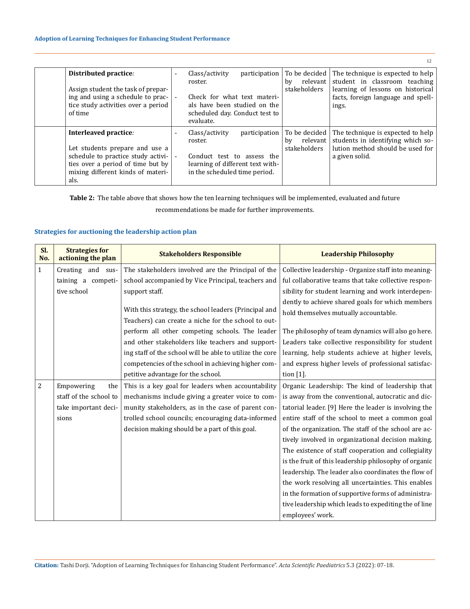|                                                                                                                                                                                 |                                            |                                                                                                                                                          |                                                   | 12                                                                                                                                                     |
|---------------------------------------------------------------------------------------------------------------------------------------------------------------------------------|--------------------------------------------|----------------------------------------------------------------------------------------------------------------------------------------------------------|---------------------------------------------------|--------------------------------------------------------------------------------------------------------------------------------------------------------|
| Distributed practice:<br>Assign student the task of prepar-<br>ing and using a schedule to prac-<br>tice study activities over a period<br>of time                              | $\overline{\phantom{0}}$                   | Class/activity<br>participation<br>roster.<br>Check for what text materi-<br>als have been studied on the<br>scheduled day. Conduct test to<br>evaluate. | To be decided<br>relevant  <br>by<br>stakeholders | The technique is expected to help<br>student in classroom teaching<br>learning of lessons on historical<br>facts, foreign language and spell-<br>ings. |
| Interleaved practice:<br>Let students prepare and use a<br>schedule to practice study activi-<br>ties over a period of time but by<br>mixing different kinds of materi-<br>als. | $\overline{\phantom{0}}$<br>$\overline{a}$ | Class/activity<br>participation<br>roster.<br>Conduct test to assess the<br>learning of different text with-<br>in the scheduled time period.            | To be decided<br>bv<br>relevant  <br>stakeholders | The technique is expected to help<br>students in identifying which so-<br>lution method should be used for<br>a given solid.                           |

**Table 2:** The table above that shows how the ten learning techniques will be implemented, evaluated and future recommendations be made for further improvements.

## **Strategies for auctioning the leadership action plan**

| SI.<br>No. | <b>Strategies for</b><br>actioning the plan | <b>Stakeholders Responsible</b>                          | <b>Leadership Philosophy</b>                          |
|------------|---------------------------------------------|----------------------------------------------------------|-------------------------------------------------------|
| 1          | Creating and sus-                           | The stakeholders involved are the Principal of the       | Collective leadership - Organize staff into meaning-  |
|            | taining a competi-                          | school accompanied by Vice Principal, teachers and       | ful collaborative teams that take collective respon-  |
|            | tive school                                 | support staff.                                           | sibility for student learning and work interdepen-    |
|            |                                             |                                                          | dently to achieve shared goals for which members      |
|            |                                             | With this strategy, the school leaders (Principal and    | hold themselves mutually accountable.                 |
|            |                                             | Teachers) can create a niche for the school to out-      |                                                       |
|            |                                             | perform all other competing schools. The leader          | The philosophy of team dynamics will also go here.    |
|            |                                             | and other stakeholders like teachers and support-        | Leaders take collective responsibility for student    |
|            |                                             | ing staff of the school will be able to utilize the core | learning, help students achieve at higher levels,     |
|            |                                             | competencies of the school in achieving higher com-      | and express higher levels of professional satisfac-   |
|            |                                             | petitive advantage for the school.                       | tion $[1]$ .                                          |
| 2          | Empowering<br>the                           | This is a key goal for leaders when accountability       | Organic Leadership: The kind of leadership that       |
|            | staff of the school to                      | mechanisms include giving a greater voice to com-        | is away from the conventional, autocratic and dic-    |
|            | take important deci-                        | munity stakeholders, as in the case of parent con-       | tatorial leader. [9] Here the leader is involving the |
|            | sions                                       | trolled school councils; encouraging data-informed       | entire staff of the school to meet a common goal      |
|            |                                             | decision making should be a part of this goal.           | of the organization. The staff of the school are ac-  |
|            |                                             |                                                          | tively involved in organizational decision making.    |
|            |                                             |                                                          | The existence of staff cooperation and collegiality   |
|            |                                             |                                                          | is the fruit of this leadership philosophy of organic |
|            |                                             |                                                          | leadership. The leader also coordinates the flow of   |
|            |                                             |                                                          | the work resolving all uncertainties. This enables    |
|            |                                             |                                                          | in the formation of supportive forms of administra-   |
|            |                                             |                                                          | tive leadership which leads to expediting the of line |
|            |                                             |                                                          | employees' work.                                      |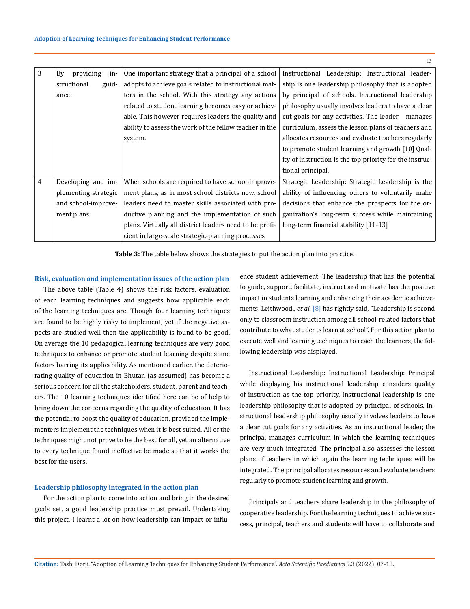| 3 | providing<br>By<br>in- | One important strategy that a principal of a school     | Instructional Leadership: Instructional leader-         |
|---|------------------------|---------------------------------------------------------|---------------------------------------------------------|
|   | structional<br>guid-   | adopts to achieve goals related to instructional mat-   | ship is one leadership philosophy that is adopted       |
|   | ance:                  | ters in the school. With this strategy any actions      | by principal of schools. Instructional leadership       |
|   |                        | related to student learning becomes easy or achiev-     | philosophy usually involves leaders to have a clear     |
|   |                        | able. This however requires leaders the quality and     | cut goals for any activities. The leader manages        |
|   |                        | ability to assess the work of the fellow teacher in the | curriculum, assess the lesson plans of teachers and     |
|   |                        | system.                                                 | allocates resources and evaluate teachers regularly     |
|   |                        |                                                         | to promote student learning and growth [10] Qual-       |
|   |                        |                                                         | ity of instruction is the top priority for the instruc- |
|   |                        |                                                         | tional principal.                                       |
| 4 | Developing and im-     | When schools are required to have school-improve-       | Strategic Leadership: Strategic Leadership is the       |
|   | plementing strategic   | ment plans, as in most school districts now, school     | ability of influencing others to voluntarily make       |
|   | and school-improve-    | leaders need to master skills associated with pro-      | decisions that enhance the prospects for the or-        |
|   | ment plans             | ductive planning and the implementation of such         | ganization's long-term success while maintaining        |
|   |                        | plans. Virtually all district leaders need to be profi- | long-term financial stability [11-13]                   |
|   |                        | cient in large-scale strategic-planning processes       |                                                         |

**Table 3:** The table below shows the strategies to put the action plan into practice**.**

## **Risk, evaluation and implementation issues of the action plan**

The above table (Table 4) shows the risk factors, evaluation of each learning techniques and suggests how applicable each of the learning techniques are. Though four learning techniques are found to be highly risky to implement, yet if the negative aspects are studied well then the applicability is found to be good. On average the 10 pedagogical learning techniques are very good techniques to enhance or promote student learning despite some factors barring its applicability. As mentioned earlier, the deteriorating quality of education in Bhutan (as assumed) has become a serious concern for all the stakeholders, student, parent and teachers. The 10 learning techniques identified here can be of help to bring down the concerns regarding the quality of education. It has the potential to boost the quality of education, provided the implementers implement the techniques when it is best suited. All of the techniques might not prove to be the best for all, yet an alternative to every technique found ineffective be made so that it works the best for the users.

#### **Leadership philosophy integrated in the action plan**

For the action plan to come into action and bring in the desired goals set, a good leadership practice must prevail. Undertaking this project, I learnt a lot on how leadership can impact or influence student achievement. The leadership that has the potential to guide, support, facilitate, instruct and motivate has the positive impact in students learning and enhancing their academic achievements. Leithwood., *et al*. [8] has rightly said, "Leadership is second only to classroom instruction among all school-related factors that contribute to what students learn at school". For this action plan to execute well and learning techniques to reach the learners, the following leadership was displayed.

Instructional Leadership: Instructional Leadership: Principal while displaying his instructional leadership considers quality of instruction as the top priority. Instructional leadership is one leadership philosophy that is adopted by principal of schools. Instructional leadership philosophy usually involves leaders to have a clear cut goals for any activities. As an instructional leader, the principal manages curriculum in which the learning techniques are very much integrated. The principal also assesses the lesson plans of teachers in which again the learning techniques will be integrated. The principal allocates resources and evaluate teachers regularly to promote student learning and growth.

Principals and teachers share leadership in the philosophy of cooperative leadership. For the learning techniques to achieve success, principal, teachers and students will have to collaborate and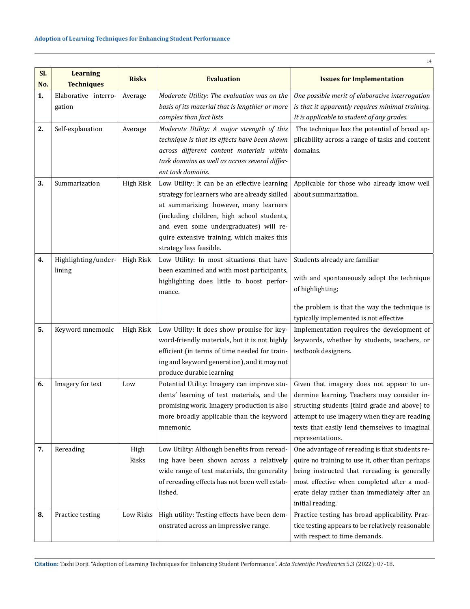| SI. | <b>Learning</b>                | <b>Risks</b>     |                                                                                                                                                                                                                                                                                                          |                                                                                                                                                                                                                                                                      |
|-----|--------------------------------|------------------|----------------------------------------------------------------------------------------------------------------------------------------------------------------------------------------------------------------------------------------------------------------------------------------------------------|----------------------------------------------------------------------------------------------------------------------------------------------------------------------------------------------------------------------------------------------------------------------|
| No. | <b>Techniques</b>              |                  | <b>Evaluation</b>                                                                                                                                                                                                                                                                                        | <b>Issues for Implementation</b>                                                                                                                                                                                                                                     |
| 1.  | Elaborative interro-<br>gation | Average          | Moderate Utility: The evaluation was on the<br>basis of its material that is lengthier or more<br>complex than fact lists                                                                                                                                                                                | One possible merit of elaborative interrogation<br>is that it apparently requires minimal training.<br>It is applicable to student of any grades.                                                                                                                    |
| 2.  | Self-explanation               | Average          | Moderate Utility: A major strength of this<br>technique is that its effects have been shown<br>across different content materials within<br>task domains as well as across several differ-<br>ent task domains.                                                                                          | The technique has the potential of broad ap-<br>plicability across a range of tasks and content<br>domains.                                                                                                                                                          |
| 3.  | Summarization                  | <b>High Risk</b> | Low Utility: It can be an effective learning<br>strategy for learners who are already skilled<br>at summarizing; however, many learners<br>(including children, high school students,<br>and even some undergraduates) will re-<br>quire extensive training, which makes this<br>strategy less feasible. | Applicable for those who already know well<br>about summarization.                                                                                                                                                                                                   |
| 4.  | Highlighting/under-<br>lining  | <b>High Risk</b> | Low Utility: In most situations that have<br>been examined and with most participants,<br>highlighting does little to boost perfor-<br>mance.                                                                                                                                                            | Students already are familiar<br>with and spontaneously adopt the technique<br>of highlighting;<br>the problem is that the way the technique is                                                                                                                      |
|     |                                |                  |                                                                                                                                                                                                                                                                                                          | typically implemented is not effective                                                                                                                                                                                                                               |
| 5.  | Keyword mnemonic               | <b>High Risk</b> | Low Utility: It does show promise for key-<br>word-friendly materials, but it is not highly<br>efficient (in terms of time needed for train-<br>ing and keyword generation), and it may not<br>produce durable learning                                                                                  | Implementation requires the development of<br>keywords, whether by students, teachers, or<br>textbook designers.                                                                                                                                                     |
| 6.  | Imagery for text               | Low              | Potential Utility: Imagery can improve stu-<br>dents' learning of text materials, and the<br>promising work. Imagery production is also<br>more broadly applicable than the keyword<br>mnemonic.                                                                                                         | Given that imagery does not appear to un-<br>dermine learning. Teachers may consider in-<br>structing students (third grade and above) to<br>attempt to use imagery when they are reading<br>texts that easily lend themselves to imaginal<br>representations.       |
| 7.  | Rereading                      | High<br>Risks    | Low Utility: Although benefits from reread-<br>ing have been shown across a relatively<br>wide range of text materials, the generality<br>of rereading effects has not been well estab-<br>lished.                                                                                                       | One advantage of rereading is that students re-<br>quire no training to use it, other than perhaps<br>being instructed that rereading is generally<br>most effective when completed after a mod-<br>erate delay rather than immediately after an<br>initial reading. |
| 8.  | Practice testing               | Low Risks        | High utility: Testing effects have been dem-<br>onstrated across an impressive range.                                                                                                                                                                                                                    | Practice testing has broad applicability. Prac-<br>tice testing appears to be relatively reasonable<br>with respect to time demands.                                                                                                                                 |

**Citation:** Tashi Dorji*.* "Adoption of Learning Techniques for Enhancing Student Performance". *Acta Scientific Paediatrics* 5.3 (2022): 07-18.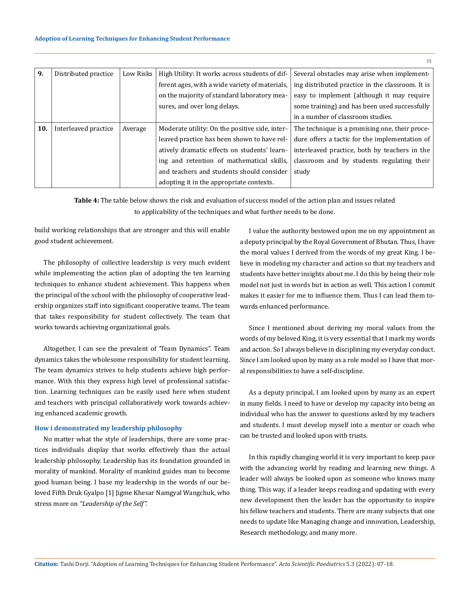| 9.  | Distributed practice | Low Risks | High Utility: It works across students of dif- | Several obstacles may arise when implement-      |
|-----|----------------------|-----------|------------------------------------------------|--------------------------------------------------|
|     |                      |           | ferent ages, with a wide variety of materials, | ing distributed practice in the classroom. It is |
|     |                      |           | on the majority of standard laboratory mea-    | easy to implement (although it may require       |
|     |                      |           | sures, and over long delays.                   | some training) and has been used successfully    |
|     |                      |           |                                                | in a number of classroom studies.                |
| 10. | Interleaved practice | Average   | Moderate utility: On the positive side, inter- | The technique is a promising one, their proce-   |
|     |                      |           | leaved practice has been shown to have rel-    | dure offers a tactic for the implementation of   |
|     |                      |           | atively dramatic effects on students' learn-   | interleaved practice, both by teachers in the    |
|     |                      |           | ing and retention of mathematical skills,      | classroom and by students regulating their       |
|     |                      |           | and teachers and students should consider      | study                                            |
|     |                      |           | adopting it in the appropriate contexts.       |                                                  |

**Table 4:** The table below shows the risk and evaluation of success model of the action plan and issues related to applicability of the techniques and what further needs to be done.

build working relationships that are stronger and this will enable good student achievement.

The philosophy of collective leadership is very much evident while implementing the action plan of adopting the ten learning techniques to enhance student achievement. This happens when the principal of the school with the philosophy of cooperative leadership organizes staff into significant cooperative teams. The team that takes responsibility for student collectively. The team that works towards achieving organizational goals.

Altogether, I can see the prevalent of 'Team Dynamics". Team dynamics takes the wholesome responsibility for student learning. The team dynamics strives to help students achieve high performance. With this they express high level of professional satisfaction. Learning techniques can be easily used here when student and teachers with principal collaboratively work towards achieving enhanced academic growth.

#### **How i demonstrated my leadership philosophy**

No matter what the style of leaderships, there are some practices individuals display that works effectively than the actual leadership philosophy. Leadership has its foundation grounded in morality of mankind. Morality of mankind guides man to become good human being. I base my leadership in the words of our beloved Fifth Druk Gyalpo [1] Jigme Khesar Namgyal Wangchuk, who stress more on *"Leadership of the Self".* 

I value the authority bestowed upon me on my appointment as a deputy principal by the Royal Government of Bhutan. Thus, I have the moral values I derived from the words of my great King. I believe in modeling my character and action so that my teachers and students have better insights about me. I do this by being their role model not just in words but in action as well. This action I commit makes it easier for me to influence them. Thus I can lead them towards enhanced performance.

Since I mentioned about deriving my moral values from the words of my beloved King, it is very essential that I mark my words and action. So I always believe in disciplining my everyday conduct. Since I am looked upon by many as a role model so I have that moral responsibilities to have a self-discipline.

As a deputy principal, I am looked upon by many as an expert in many fields. I need to have or develop my capacity into being an individual who has the answer to questions asked by my teachers and students. I must develop myself into a mentor or coach who can be trusted and looked upon with trusts.

In this rapidly changing world it is very important to keep pace with the advancing world by reading and learning new things. A leader will always be looked upon as someone who knows many thing. This way, if a leader keeps reading and updating with every new development then the leader has the opportunity to inspire his fellow teachers and students. There are many subjects that one needs to update like Managing change and innovation, Leadership, Research methodology, and many more.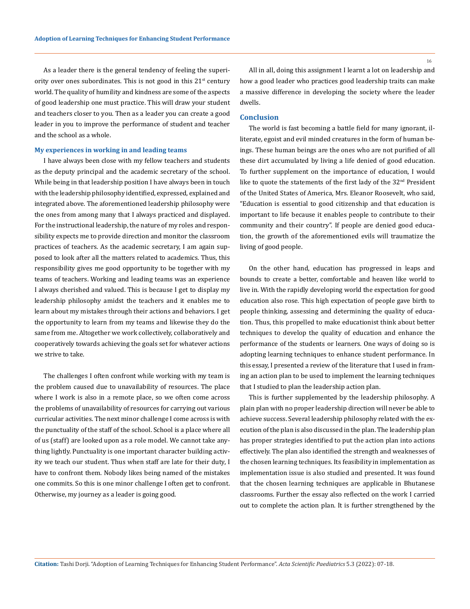As a leader there is the general tendency of feeling the superiority over ones subordinates. This is not good in this  $21<sup>st</sup>$  century world. The quality of humility and kindness are some of the aspects of good leadership one must practice. This will draw your student and teachers closer to you. Then as a leader you can create a good leader in you to improve the performance of student and teacher and the school as a whole.

#### **My experiences in working in and leading teams**

I have always been close with my fellow teachers and students as the deputy principal and the academic secretary of the school. While being in that leadership position I have always been in touch with the leadership philosophy identified, expressed, explained and integrated above. The aforementioned leadership philosophy were the ones from among many that I always practiced and displayed. For the instructional leadership, the nature of my roles and responsibility expects me to provide direction and monitor the classroom practices of teachers. As the academic secretary, I am again supposed to look after all the matters related to academics. Thus, this responsibility gives me good opportunity to be together with my teams of teachers. Working and leading teams was an experience I always cherished and valued. This is because I get to display my leadership philosophy amidst the teachers and it enables me to learn about my mistakes through their actions and behaviors. I get the opportunity to learn from my teams and likewise they do the same from me. Altogether we work collectively, collaboratively and cooperatively towards achieving the goals set for whatever actions we strive to take.

The challenges I often confront while working with my team is the problem caused due to unavailability of resources. The place where I work is also in a remote place, so we often come across the problems of unavailability of resources for carrying out various curricular activities. The next minor challenge I come across is with the punctuality of the staff of the school. School is a place where all of us (staff) are looked upon as a role model. We cannot take anything lightly. Punctuality is one important character building activity we teach our student. Thus when staff are late for their duty, I have to confront them. Nobody likes being named of the mistakes one commits. So this is one minor challenge I often get to confront. Otherwise, my journey as a leader is going good.

All in all, doing this assignment I learnt a lot on leadership and how a good leader who practices good leadership traits can make a massive difference in developing the society where the leader dwells.

#### **Conclusion**

The world is fast becoming a battle field for many ignorant, illiterate, egoist and evil minded creatures in the form of human beings. These human beings are the ones who are not purified of all these dirt accumulated by living a life denied of good education. To further supplement on the importance of education, I would like to quote the statements of the first lady of the 32nd President of the United States of America, Mrs. Eleanor Roosevelt, who said, "Education is essential to good citizenship and that education is important to life because it enables people to contribute to their community and their country". If people are denied good education, the growth of the aforementioned evils will traumatize the living of good people.

On the other hand, education has progressed in leaps and bounds to create a better, comfortable and heaven like world to live in. With the rapidly developing world the expectation for good education also rose. This high expectation of people gave birth to people thinking, assessing and determining the quality of education. Thus, this propelled to make educationist think about better techniques to develop the quality of education and enhance the performance of the students or learners. One ways of doing so is adopting learning techniques to enhance student performance. In this essay, I presented a review of the literature that I used in framing an action plan to be used to implement the learning techniques that I studied to plan the leadership action plan.

This is further supplemented by the leadership philosophy. A plain plan with no proper leadership direction will never be able to achieve success. Several leadership philosophy related with the execution of the plan is also discussed in the plan. The leadership plan has proper strategies identified to put the action plan into actions effectively. The plan also identified the strength and weaknesses of the chosen learning techniques. Its feasibility in implementation as implementation issue is also studied and presented. It was found that the chosen learning techniques are applicable in Bhutanese classrooms. Further the essay also reflected on the work I carried out to complete the action plan. It is further strengthened by the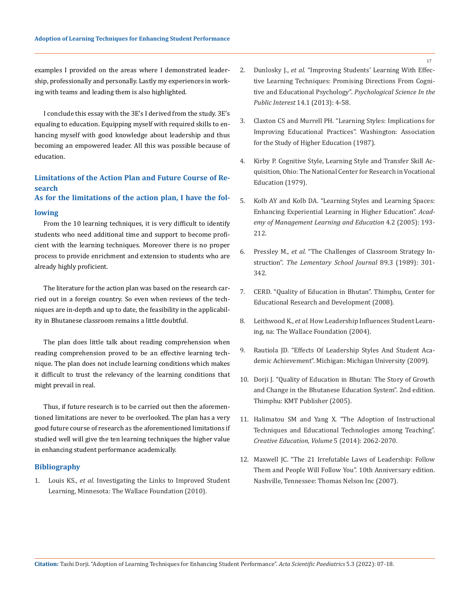examples I provided on the areas where I demonstrated leadership, professionally and personally. Lastly my experiences in working with teams and leading them is also highlighted.

I conclude this essay with the 3E's I derived from the study. 3E's equaling to education. Equipping myself with required skills to enhancing myself with good knowledge about leadership and thus becoming an empowered leader. All this was possible because of education.

# **Limitations of the Action Plan and Future Course of Research**

# **As for the limitations of the action plan, I have the fol-**

#### **lowing**

From the 10 learning techniques, it is very difficult to identify students who need additional time and support to become proficient with the learning techniques. Moreover there is no proper process to provide enrichment and extension to students who are already highly proficient.

The literature for the action plan was based on the research carried out in a foreign country. So even when reviews of the techniques are in-depth and up to date, the feasibility in the applicability in Bhutanese classroom remains a little doubtful.

The plan does little talk about reading comprehension when reading comprehension proved to be an effective learning technique. The plan does not include learning conditions which makes it difficult to trust the relevancy of the learning conditions that might prevail in real.

Thus, if future research is to be carried out then the aforementioned limitations are never to be overlooked. The plan has a very good future course of research as the aforementioned limitations if studied well will give the ten learning techniques the higher value in enhancing student performance academically.

### **Bibliography**

1. Louis KS., *et al.* [Investigating the Links to Improved Student](https://www.wallacefoundation.org/knowledge-center/Documents/Investigating-the-Links-to-Improved-Student-Learning-Executive-Summary.pdf) [Learning, Minnesota: The Wallace Foundation \(2010\).](https://www.wallacefoundation.org/knowledge-center/Documents/Investigating-the-Links-to-Improved-Student-Learning-Executive-Summary.pdf)

- 2. Dunlosky J., *et al.* ["Improving Students' Learning With Effec](https://pcl.sitehost.iu.edu/rgoldsto/courses/dunloskyimprovinglearning.pdf)[tive Learning Techniques: Promising Directions From Cogni](https://pcl.sitehost.iu.edu/rgoldsto/courses/dunloskyimprovinglearning.pdf)[tive and Educational Psychology".](https://pcl.sitehost.iu.edu/rgoldsto/courses/dunloskyimprovinglearning.pdf) *Psychological Science In the Public Interest* [14.1 \(2013\): 4-58.](https://pcl.sitehost.iu.edu/rgoldsto/courses/dunloskyimprovinglearning.pdf)
- 3. [Claxton CS and Murrell PH. "Learning Styles: Implications for](https://eric.ed.gov/?id=ED293478) [Improving Educational Practices". Washington: Association](https://eric.ed.gov/?id=ED293478) [for the Study of Higher Education \(1987\).](https://eric.ed.gov/?id=ED293478)
- 4. [Kirby P. Cognitive Style, Learning Style and Transfer Skill Ac](https://www.voced.edu.au/content/ngv%3A29464)[quisition, Ohio: The National Center for Research in Vocational](https://www.voced.edu.au/content/ngv%3A29464)  [Education \(1979\).](https://www.voced.edu.au/content/ngv%3A29464)
- 5. [Kolb AY and Kolb DA. "Learning Styles and Learning Spaces:](https://psycnet.apa.org/record/2007-00824-007) [Enhancing Experiential Learning in Higher Education".](https://psycnet.apa.org/record/2007-00824-007) *Acad[emy of Management Learning and Education](https://psycnet.apa.org/record/2007-00824-007)* 4.2 (2005): 193- [212.](https://psycnet.apa.org/record/2007-00824-007)
- 6. Pressley M., *et al*[. "The Challenges of Classroom Strategy In](https://www.jstor.org/stable/1001806)struction". *[The Lementary School Journal](https://www.jstor.org/stable/1001806)* 89.3 (1989): 301- [342.](https://www.jstor.org/stable/1001806)
- 7. [CERD. "Quality of Education in Bhutan". Thimphu, Center for](https://www.pce.edu.bt/wp-content/uploads/2019/07/Quality-of-Education-II.pdf) [Educational Research and Development \(2008\).](https://www.pce.edu.bt/wp-content/uploads/2019/07/Quality-of-Education-II.pdf)
- 8. Leithwood K., *et al.* [How Leadership Influences Student Learn](https://www.wallacefoundation.org/knowledge-center/pages/how-leadership-influences-student-learning.aspx)[ing, na: The Wallace Foundation \(2004\).](https://www.wallacefoundation.org/knowledge-center/pages/how-leadership-influences-student-learning.aspx)
- 9. Rautiola JD. "Effects Of Leadership Styles And Student Academic Achievement". Michigan: Michigan University (2009).
- 10. [Dorji J. "Quality of Education in Bhutan: The Story of Growth](https://www.worldcat.org/title/quality-of-education-in-bhutan-the-story-of-growth-and-change-in-the-bhutanese-education-system/oclc/270498558)  [and Change in the Bhutanese Education System". 2nd edition.](https://www.worldcat.org/title/quality-of-education-in-bhutan-the-story-of-growth-and-change-in-the-bhutanese-education-system/oclc/270498558) [Thimphu: KMT Publisher \(2005\).](https://www.worldcat.org/title/quality-of-education-in-bhutan-the-story-of-growth-and-change-in-the-bhutanese-education-system/oclc/270498558)
- 11. [Halimatou SM and Yang X. "The Adoption of Instructional](https://www.researchgate.net/publication/276499167_The_Adoption_of_Instructional_Techniques_and_Educational_Technologies_among_Teaching)  [Techniques and Educational Technologies among Teaching".](https://www.researchgate.net/publication/276499167_The_Adoption_of_Instructional_Techniques_and_Educational_Technologies_among_Teaching)  *[Creative Education, Volume](https://www.researchgate.net/publication/276499167_The_Adoption_of_Instructional_Techniques_and_Educational_Technologies_among_Teaching)* 5 (2014): 2062-2070.
- 12. Maxwell JC. "The 21 Irrefutable Laws of Leadership: Follow Them and People Will Follow You". 10th Anniversary edition. Nashville, Tennessee: Thomas Nelson Inc (2007).